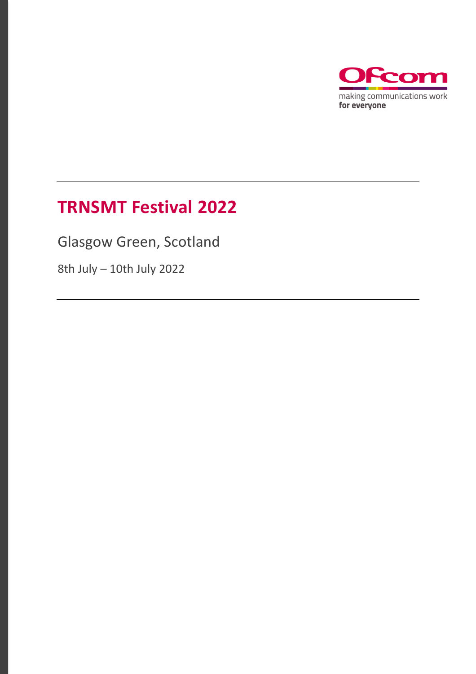

# **TRNSMT Festival 2022**

Glasgow Green, Scotland

8th July – 10th July 2022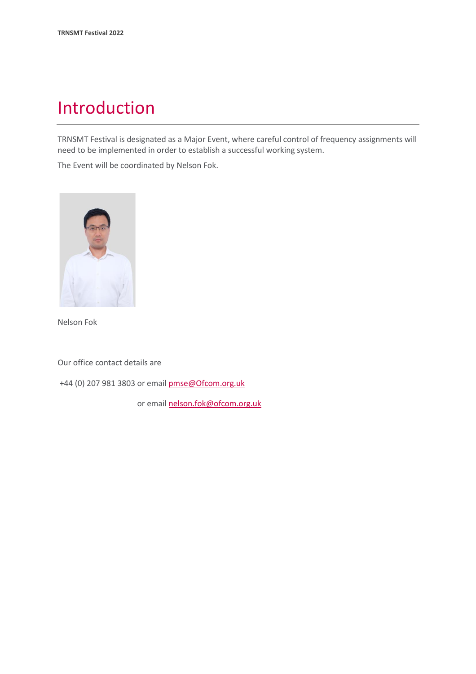# Introduction

TRNSMT Festival is designated as a Major Event, where careful control of frequency assignments will need to be implemented in order to establish a successful working system.

The Event will be coordinated by Nelson Fok.



Nelson Fok

Our office contact details are

+44 (0) 207 981 3803 or emai[l pmse@Ofcom.org.uk](mailto:pmse@arqiva.com)

or email nelson.fok@ofcom.org.uk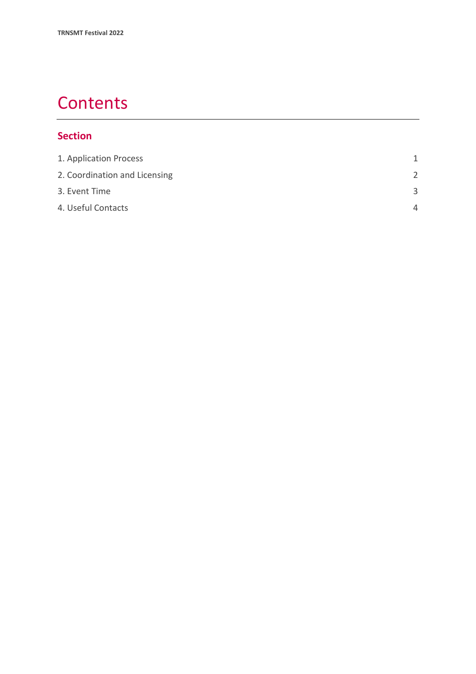# **Contents**

### **Section**

| 1. Application Process        | 1             |
|-------------------------------|---------------|
| 2. Coordination and Licensing | $\mathcal{P}$ |
| 3. Event Time                 | $\mathbf{R}$  |
| 4. Useful Contacts            | Δ             |
|                               |               |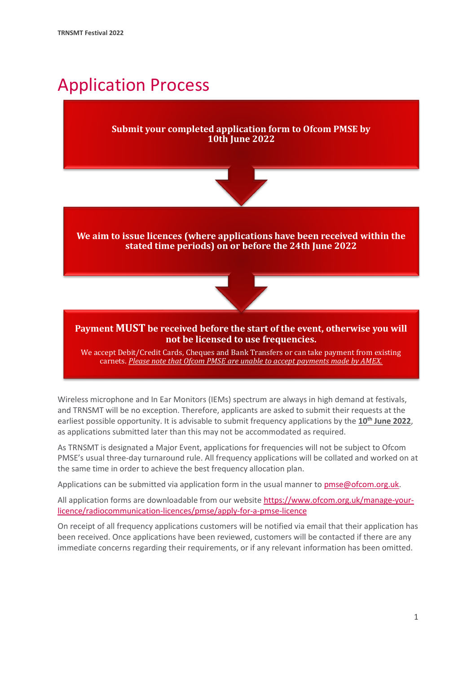# <span id="page-3-0"></span>Application Process

### **Submit your completed application form to Ofcom PMSE by 10th June 2022**



**We aim to issue licences (where applications have been received within the stated time periods) on or before the 24th June 2022**



#### **Payment MUST be received before the start of the event, otherwise you will not be licensed to use frequencies.**

We accept Debit/Credit Cards, Cheques and Bank Transfers or can take payment from existing carnets. *Please note that Ofcom PMSE are unable to accept payments made by AMEX.*

Wireless microphone and In Ear Monitors (IEMs) spectrum are always in high demand at festivals, and TRNSMT will be no exception. Therefore, applicants are asked to submit their requests at the earliest possible opportunity. It is advisable to submit frequency applications by the **10 th June 2022**, as applications submitted later than this may not be accommodated as required.

As TRNSMT is designated a Major Event, applications for frequencies will not be subject to Ofcom PMSE's usual three-day turnaround rule. All frequency applications will be collated and worked on at the same time in order to achieve the best frequency allocation plan.

Applications can be submitted via application form in the usual manner to [pmse@ofcom.org.uk.](mailto:pmse@ofcom.org.uk)

All application forms are downloadable from our websit[e https://www.ofcom.org.uk/manage-your](https://www.ofcom.org.uk/manage-your-licence/radiocommunication-licences/pmse/apply-for-a-pmse-licence)[licence/radiocommunication-licences/pmse/apply-for-a-pmse-licence](https://www.ofcom.org.uk/manage-your-licence/radiocommunication-licences/pmse/apply-for-a-pmse-licence)

On receipt of all frequency applications customers will be notified via email that their application has been received. Once applications have been reviewed, customers will be contacted if there are any immediate concerns regarding their requirements, or if any relevant information has been omitted.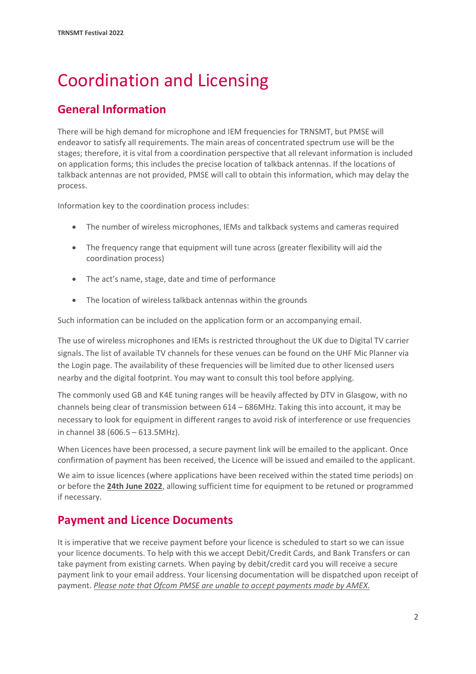# <span id="page-4-0"></span>Coordination and Licensing

## **General Information**

There will be high demand for microphone and IEM frequencies for TRNSMT, but PMSE will endeavor to satisfy all requirements. The main areas of concentrated spectrum use will be the stages; therefore, it is vital from a coordination perspective that all relevant information is included on application forms; this includes the precise location of talkback antennas. If the locations of talkback antennas are not provided, PMSE will call to obtain this information, which may delay the process.

Information key to the coordination process includes:

- The number of wireless microphones, IEMs and talkback systems and cameras required
- The frequency range that equipment will tune across (greater flexibility will aid the coordination process)
- The act's name, stage, date and time of performance
- The location of wireless talkback antennas within the grounds

Such information can be included on the application form or an accompanying email.

The use of wireless microphones and IEMs is restricted throughout the UK due to Digital TV carrier signals. The list of available TV channels for these venues can be found on the UHF Mic Planner via the Login page. The availability of these frequencies will be limited due to other licensed users nearby and the digital footprint. You may want to consult this tool before applying.

The commonly used GB and K4E tuning ranges will be heavily affected by DTV in Glasgow, with no channels being clear of transmission between 614 – 686MHz. Taking this into account, it may be necessary to look for equipment in different ranges to avoid risk of interference or use frequencies in channel 38 (606.5 – 613.5MHz).

When Licences have been processed, a secure payment link will be emailed to the applicant. Once confirmation of payment has been received, the Licence will be issued and emailed to the applicant.

We aim to issue licences (where applications have been received within the stated time periods) on or before the **24th June 2022**, allowing sufficient time for equipment to be retuned or programmed if necessary.

### **Payment and Licence Documents**

It is imperative that we receive payment before your licence is scheduled to start so we can issue your licence documents. To help with this we accept Debit/Credit Cards, and Bank Transfers or can take payment from existing carnets. When paying by debit/credit card you will receive a secure payment link to your email address. Your licensing documentation will be dispatched upon receipt of payment. *Please note that Ofcom PMSE are unable to accept payments made by AMEX.*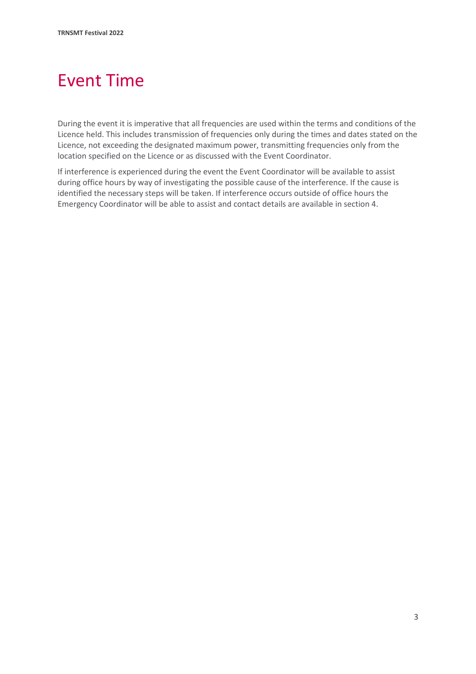# <span id="page-5-0"></span>Event Time

During the event it is imperative that all frequencies are used within the terms and conditions of the Licence held. This includes transmission of frequencies only during the times and dates stated on the Licence, not exceeding the designated maximum power, transmitting frequencies only from the location specified on the Licence or as discussed with the Event Coordinator.

If interference is experienced during the event the Event Coordinator will be available to assist during office hours by way of investigating the possible cause of the interference. If the cause is identified the necessary steps will be taken. If interference occurs outside of office hours the Emergency Coordinator will be able to assist and contact details are available in section 4.